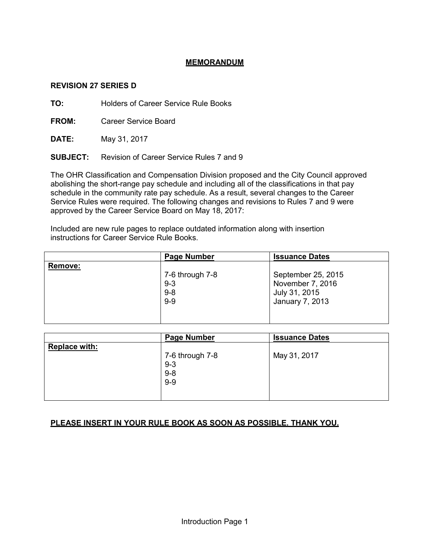## **MEMORANDUM**

#### **REVISION 27 SERIES D**

**TO:** Holders of Career Service Rule Books

**FROM:** Career Service Board

**DATE:** May 31, 2017

**SUBJECT:** Revision of Career Service Rules 7 and 9

The OHR Classification and Compensation Division proposed and the City Council approved abolishing the short-range pay schedule and including all of the classifications in that pay schedule in the community rate pay schedule. As a result, several changes to the Career Service Rules were required. The following changes and revisions to Rules 7 and 9 were approved by the Career Service Board on May 18, 2017:

Included are new rule pages to replace outdated information along with insertion instructions for Career Service Rule Books.

|                | <b>Page Number</b> | <b>Issuance Dates</b>            |
|----------------|--------------------|----------------------------------|
| <b>Remove:</b> | 7-6 through 7-8    | September 25, 2015               |
|                | $9 - 3$<br>$9 - 8$ | November 7, 2016                 |
|                | $9 - 9$            | July 31, 2015<br>January 7, 2013 |
|                |                    |                                  |

|                      | <b>Page Number</b>                             | <b>Issuance Dates</b> |  |
|----------------------|------------------------------------------------|-----------------------|--|
| <b>Replace with:</b> | 7-6 through 7-8<br>$9 - 3$<br>$9 - 8$<br>$9-9$ | May 31, 2017          |  |

# **PLEASE INSERT IN YOUR RULE BOOK AS SOON AS POSSIBLE. THANK YOU.**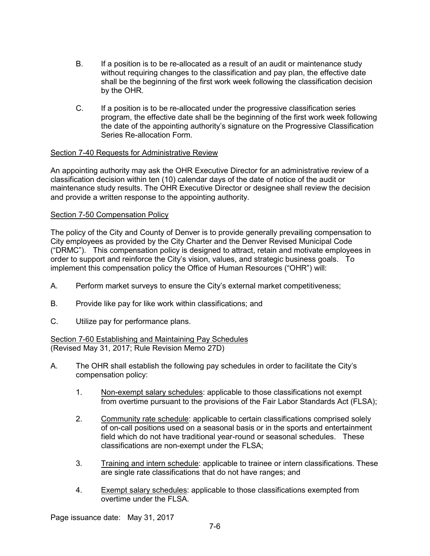- B. If a position is to be re-allocated as a result of an audit or maintenance study without requiring changes to the classification and pay plan, the effective date shall be the beginning of the first work week following the classification decision by the OHR.
- C. If a position is to be re-allocated under the progressive classification series program, the effective date shall be the beginning of the first work week following the date of the appointing authority's signature on the Progressive Classification Series Re-allocation Form.

#### Section 7-40 Requests for Administrative Review

An appointing authority may ask the OHR Executive Director for an administrative review of a classification decision within ten (10) calendar days of the date of notice of the audit or maintenance study results. The OHR Executive Director or designee shall review the decision and provide a written response to the appointing authority.

#### Section 7-50 Compensation Policy

The policy of the City and County of Denver is to provide generally prevailing compensation to City employees as provided by the City Charter and the Denver Revised Municipal Code ("DRMC"). This compensation policy is designed to attract, retain and motivate employees in order to support and reinforce the City's vision, values, and strategic business goals. To implement this compensation policy the Office of Human Resources ("OHR") will:

- A. Perform market surveys to ensure the City's external market competitiveness;
- B. Provide like pay for like work within classifications; and
- C. Utilize pay for performance plans.

Section 7-60 Establishing and Maintaining Pay Schedules (Revised May 31, 2017; Rule Revision Memo 27D)

- A. The OHR shall establish the following pay schedules in order to facilitate the City's compensation policy:
	- 1. Non-exempt salary schedules: applicable to those classifications not exempt from overtime pursuant to the provisions of the Fair Labor Standards Act (FLSA);
	- 2. Community rate schedule: applicable to certain classifications comprised solely of on-call positions used on a seasonal basis or in the sports and entertainment field which do not have traditional year-round or seasonal schedules. These classifications are non-exempt under the FLSA;
	- 3. Training and intern schedule: applicable to trainee or intern classifications. These are single rate classifications that do not have ranges; and
	- 4. Exempt salary schedules: applicable to those classifications exempted from overtime under the FLSA.

Page issuance date: May 31, 2017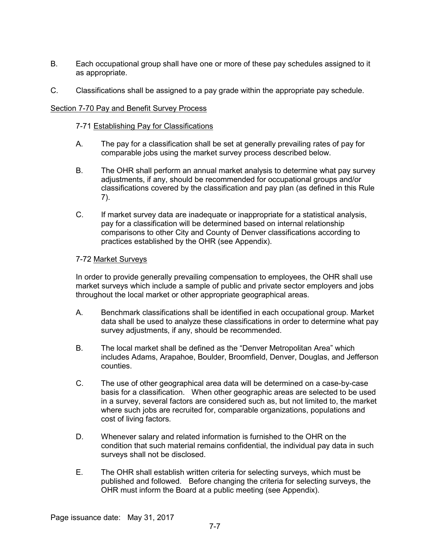- B. Each occupational group shall have one or more of these pay schedules assigned to it as appropriate.
- C. Classifications shall be assigned to a pay grade within the appropriate pay schedule.

#### Section 7-70 Pay and Benefit Survey Process

#### 7-71 Establishing Pay for Classifications

- A. The pay for a classification shall be set at generally prevailing rates of pay for comparable jobs using the market survey process described below.
- B. The OHR shall perform an annual market analysis to determine what pay survey adjustments, if any, should be recommended for occupational groups and/or classifications covered by the classification and pay plan (as defined in this Rule 7).
- C. If market survey data are inadequate or inappropriate for a statistical analysis, pay for a classification will be determined based on internal relationship comparisons to other City and County of Denver classifications according to practices established by the OHR (see Appendix).

#### 7-72 Market Surveys

In order to provide generally prevailing compensation to employees, the OHR shall use market surveys which include a sample of public and private sector employers and jobs throughout the local market or other appropriate geographical areas.

- A. Benchmark classifications shall be identified in each occupational group. Market data shall be used to analyze these classifications in order to determine what pay survey adjustments, if any, should be recommended.
- B. The local market shall be defined as the "Denver Metropolitan Area" which includes Adams, Arapahoe, Boulder, Broomfield, Denver, Douglas, and Jefferson counties.
- C. The use of other geographical area data will be determined on a case-by-case basis for a classification. When other geographic areas are selected to be used in a survey, several factors are considered such as, but not limited to, the market where such jobs are recruited for, comparable organizations, populations and cost of living factors.
- D. Whenever salary and related information is furnished to the OHR on the condition that such material remains confidential, the individual pay data in such surveys shall not be disclosed.
- E. The OHR shall establish written criteria for selecting surveys, which must be published and followed. Before changing the criteria for selecting surveys, the OHR must inform the Board at a public meeting (see Appendix).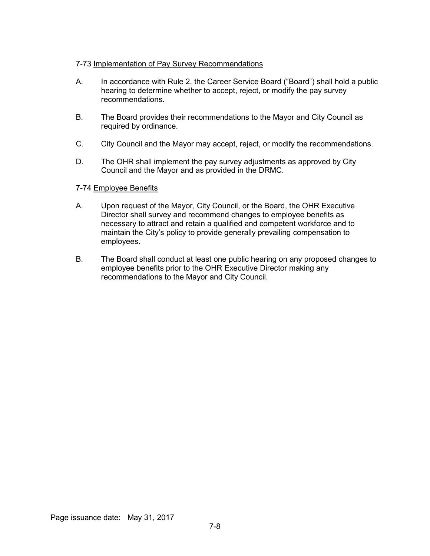## 7-73 Implementation of Pay Survey Recommendations

- A. In accordance with Rule 2, the Career Service Board ("Board") shall hold a public hearing to determine whether to accept, reject, or modify the pay survey recommendations.
- B. The Board provides their recommendations to the Mayor and City Council as required by ordinance.
- C. City Council and the Mayor may accept, reject, or modify the recommendations.
- D. The OHR shall implement the pay survey adjustments as approved by City Council and the Mayor and as provided in the DRMC.

#### 7-74 Employee Benefits

- A. Upon request of the Mayor, City Council, or the Board, the OHR Executive Director shall survey and recommend changes to employee benefits as necessary to attract and retain a qualified and competent workforce and to maintain the City's policy to provide generally prevailing compensation to employees.
- B. The Board shall conduct at least one public hearing on any proposed changes to employee benefits prior to the OHR Executive Director making any recommendations to the Mayor and City Council.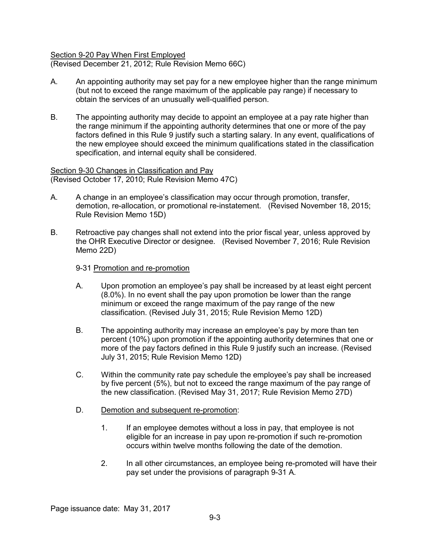# Section 9-20 Pay When First Employed

(Revised December 21, 2012; Rule Revision Memo 66C)

- A. An appointing authority may set pay for a new employee higher than the range minimum (but not to exceed the range maximum of the applicable pay range) if necessary to obtain the services of an unusually well-qualified person.
- B. The appointing authority may decide to appoint an employee at a pay rate higher than the range minimum if the appointing authority determines that one or more of the pay factors defined in this Rule 9 justify such a starting salary. In any event, qualifications of the new employee should exceed the minimum qualifications stated in the classification specification, and internal equity shall be considered.

Section 9-30 Changes in Classification and Pay (Revised October 17, 2010; Rule Revision Memo 47C)

- A. A change in an employee's classification may occur through promotion, transfer, demotion, re-allocation, or promotional re-instatement. (Revised November 18, 2015; Rule Revision Memo 15D)
- B. Retroactive pay changes shall not extend into the prior fiscal year, unless approved by the OHR Executive Director or designee. (Revised November 7, 2016; Rule Revision Memo 22D)

#### 9-31 Promotion and re-promotion

- A. Upon promotion an employee's pay shall be increased by at least eight percent (8.0%). In no event shall the pay upon promotion be lower than the range minimum or exceed the range maximum of the pay range of the new classification. (Revised July 31, 2015; Rule Revision Memo 12D)
- B. The appointing authority may increase an employee's pay by more than ten percent (10%) upon promotion if the appointing authority determines that one or more of the pay factors defined in this Rule 9 justify such an increase. (Revised July 31, 2015; Rule Revision Memo 12D)
- C. Within the community rate pay schedule the employee's pay shall be increased by five percent (5%), but not to exceed the range maximum of the pay range of the new classification. (Revised May 31, 2017; Rule Revision Memo 27D)
- D. Demotion and subsequent re-promotion:
	- 1. If an employee demotes without a loss in pay, that employee is not eligible for an increase in pay upon re-promotion if such re-promotion occurs within twelve months following the date of the demotion.
	- 2. In all other circumstances, an employee being re-promoted will have their pay set under the provisions of paragraph 9-31 A.

Page issuance date: May 31, 2017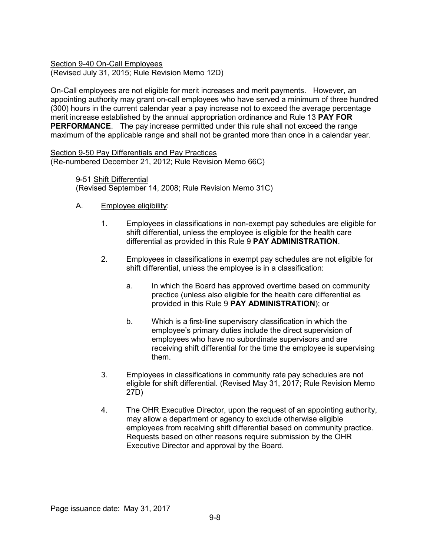Section 9-40 On-Call Employees (Revised July 31, 2015; Rule Revision Memo 12D)

On-Call employees are not eligible for merit increases and merit payments. However, an appointing authority may grant on-call employees who have served a minimum of three hundred (300) hours in the current calendar year a pay increase not to exceed the average percentage merit increase established by the annual appropriation ordinance and Rule 13 **PAY FOR PERFORMANCE**. The pay increase permitted under this rule shall not exceed the range maximum of the applicable range and shall not be granted more than once in a calendar year.

Section 9-50 Pay Differentials and Pay Practices (Re-numbered December 21, 2012; Rule Revision Memo 66C)

> 9-51 Shift Differential (Revised September 14, 2008; Rule Revision Memo 31C)

- A. Employee eligibility:
	- 1. Employees in classifications in non-exempt pay schedules are eligible for shift differential, unless the employee is eligible for the health care differential as provided in this Rule 9 **PAY ADMINISTRATION**.
	- 2. Employees in classifications in exempt pay schedules are not eligible for shift differential, unless the employee is in a classification:
		- a. In which the Board has approved overtime based on community practice (unless also eligible for the health care differential as provided in this Rule 9 **PAY ADMINISTRATION**); or
		- b. Which is a first-line supervisory classification in which the employee's primary duties include the direct supervision of employees who have no subordinate supervisors and are receiving shift differential for the time the employee is supervising them.
	- 3. Employees in classifications in community rate pay schedules are not eligible for shift differential. (Revised May 31, 2017; Rule Revision Memo 27D)
	- 4. The OHR Executive Director, upon the request of an appointing authority, may allow a department or agency to exclude otherwise eligible employees from receiving shift differential based on community practice. Requests based on other reasons require submission by the OHR Executive Director and approval by the Board.